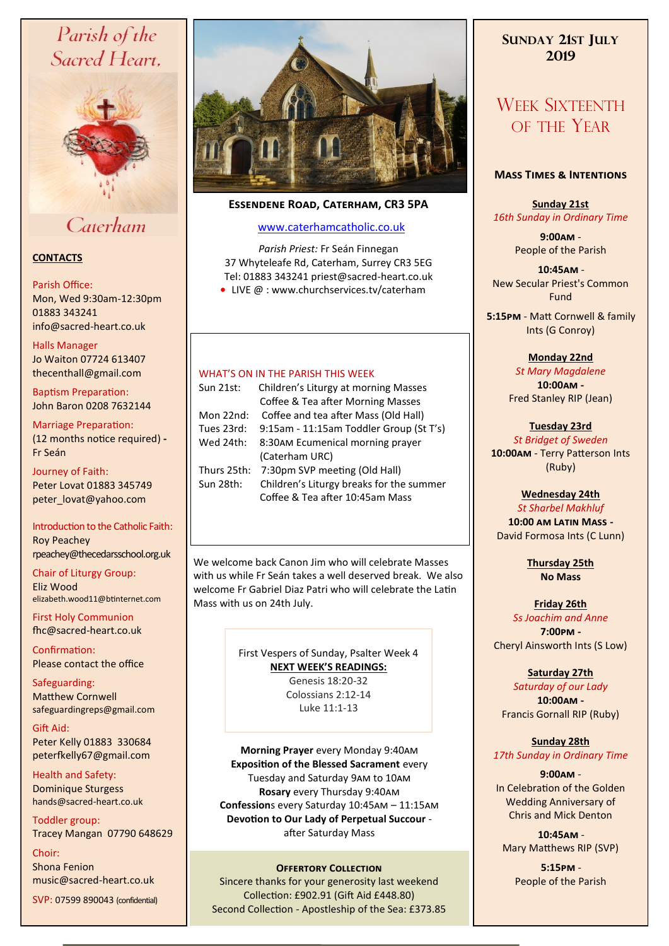# Parish of the Sacred Heart,



# Caterham

# **CONTACTS**

### Parish Office:

Mon, Wed 9:30am-12:30pm 01883 343241 info@sacred-heart.co.uk .

Halls Manager

Jo Waiton 07724 613407 thecenthall@gmail.com

Baptism Preparation: John Baron 0208 7632144

Marriage Preparation: (12 months notice required) **-** Fr Seán

Journey of Faith: Peter Lovat 01883 345749 peter\_lovat@yahoo.com

Introduction to the Catholic Faith: Roy Peachey rpeachey@thecedarsschool.org.uk

Chair of Liturgy Group: Eliz Wood elizabeth.wood11@btinternet.com

First Holy Communion fhc@sacred-heart.co.uk

Confirmation: Please contact the office

Safeguarding: Matthew Cornwell safeguardingreps@gmail.com

Gift Aid: Peter Kelly 01883 330684 peterfkelly67@gmail.com

Health and Safety: Dominique Sturgess hands@sacred-heart.co.uk

Toddler group: Tracey Mangan 07790 648629

Choir: Shona Fenion music@sacred-heart.co.uk SVP: 07599 890043 (confidential)



# **Essendene Road, Caterham, CR3 5PA**

# [www.caterhamcatholic.co.uk](http://Www.caterhamcatholic.co.uk)

*Parish Priest:* Fr Seán Finnegan 37 Whyteleafe Rd, Caterham, Surrey CR3 5EG Tel: 01883 343241 priest@sacred-heart.co.uk ● LIVE @ : www.churchservices.tv/caterham

### WHAT'S ON IN THE PARISH THIS WEEK.

| Sun 21st:   | Children's Liturgy at morning Masses     |
|-------------|------------------------------------------|
|             | Coffee & Tea after Morning Masses        |
| Mon 22nd:   | Coffee and tea after Mass (Old Hall)     |
| Tues 23rd:  | 9:15am - 11:15am Toddler Group (St T's)  |
| Wed 24th:   | 8:30AM Ecumenical morning prayer         |
|             | (Caterham URC)                           |
| Thurs 25th: | 7:30pm SVP meeting (Old Hall)            |
| Sun 28th:   | Children's Liturgy breaks for the summer |
|             | Coffee & Tea after 10:45am Mass          |

We welcome back Canon Jim who will celebrate Masses with us while Fr Seán takes a well deserved break. We also welcome Fr Gabriel Diaz Patri who will celebrate the Latin Mass with us on 24th July.

> First Vespers of Sunday, Psalter Week 4 **NEXT WEEK'S READINGS:**  Genesis 18:20-32 Colossians 2:12-14 Luke 11:1-13

**Morning Prayer** every Monday 9:40am **Exposition of the Blessed Sacrament** every Tuesday and Saturday 9am to 10am **Rosary** every Thursday 9:40am **Confession**s every Saturday 10:45am – 11:15am **Devotion to Our Lady of Perpetual Succour**  after Saturday Mass

# **OFFERTORY COLLECTION**

Sincere thanks for your generosity last weekend Collection: £902.91 (Gift Aid £448.80) Second Collection - Apostleship of the Sea: £373.85

# **SUNDAY 21ST JULY 2019**

# WEEK SIXTEENTH OF THE YEAR

# **Mass Times & Intentions**

**Sunday 21st** *16th Sunday in Ordinary Time*

> **9:00am** - People of the Parish

.**10:45am** - New Secular Priest's Common Fund

.**5:15pm** - Matt Cornwell & family Ints (G Conroy)

**Monday 22nd**

*St Mary Magdalene* **10:00am -**  Fred Stanley RIP (Jean)

**Tuesday 23rd** *St Bridget of Sweden* **10:00am** - Terry Patterson Ints (Ruby)

**Wednesday 24th**

*St Sharbel Makhluf* **10:00 am Latin Mass -** David Formosa Ints (C Lunn)

> **Thursday 25th No Mass**

#### **Friday 26th** *Ss Joachim and Anne*

**7:00pm -** Cheryl Ainsworth Ints (S Low)

**Saturday 27th**

*Saturday of our Lady* **10:00am -**  Francis Gornall RIP (Ruby)

**Sunday 28th** *17th Sunday in Ordinary Time*

**9:00am** - In Celebration of the Golden Wedding Anniversary of Chris and Mick Denton

.**10:45am** - Mary Matthews RIP (SVP)

> .**5:15pm** - People of the Parish